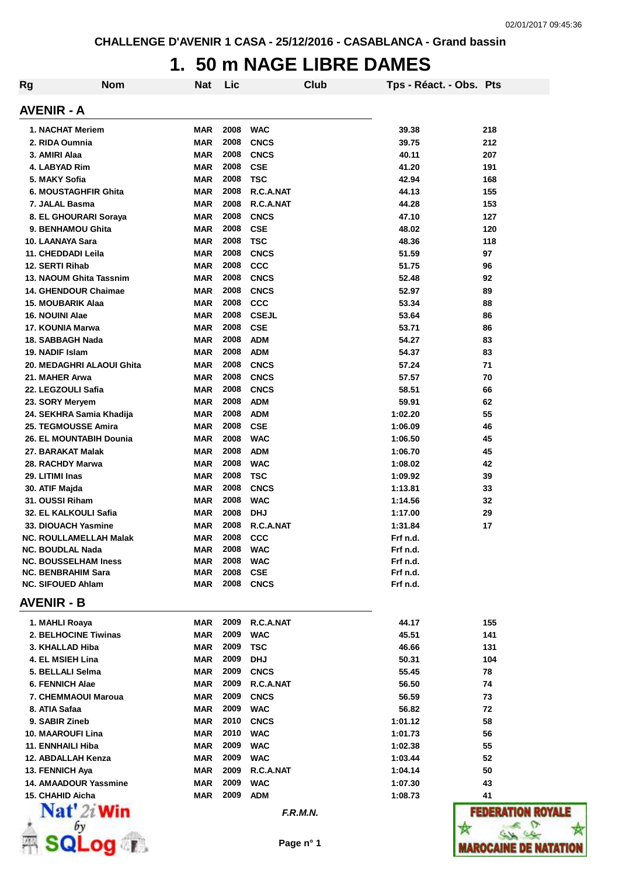## **1. 50 m NAGE LIBRE DAMES**

| <b>Rg</b> | <b>Nom</b>                                              | Nat                      | Lic          |                           | Club | Tps - Réact. - Obs. Pts |            |
|-----------|---------------------------------------------------------|--------------------------|--------------|---------------------------|------|-------------------------|------------|
|           | <b>AVENIR - A</b>                                       |                          |              |                           |      |                         |            |
|           | 1. NACHAT Meriem                                        | <b>MAR</b>               | 2008         | <b>WAC</b>                |      | 39.38                   | 218        |
|           | 2. RIDA Oumnia                                          | <b>MAR</b>               | 2008         | <b>CNCS</b>               |      | 39.75                   | 212        |
|           | 3. AMIRI Alaa                                           | <b>MAR</b>               | 2008         | <b>CNCS</b>               |      | 40.11                   | 207        |
|           | 4. LABYAD Rim                                           | <b>MAR</b>               | 2008         | <b>CSE</b>                |      | 41.20                   | 191        |
|           | 5. MAKY Sofia                                           | <b>MAR</b>               | 2008         | <b>TSC</b>                |      | 42.94                   | 168        |
|           | 6. MOUSTAGHFIR Ghita                                    | <b>MAR</b>               | 2008         | R.C.A.NAT                 |      | 44.13                   | 155        |
|           | 7. JALAL Basma                                          | <b>MAR</b>               | 2008         | R.C.A.NAT                 |      | 44.28                   | 153        |
|           | 8. EL GHOURARI Soraya                                   | MAR                      | 2008         | <b>CNCS</b>               |      | 47.10                   | 127        |
|           | 9. BENHAMOU Ghita                                       | <b>MAR</b>               | 2008         | <b>CSE</b>                |      | 48.02                   | 120        |
|           | 10. LAANAYA Sara                                        | <b>MAR</b>               | 2008         | <b>TSC</b>                |      | 48.36                   | 118        |
|           | 11. CHEDDADI Leila                                      | <b>MAR</b>               | 2008         | <b>CNCS</b>               |      | 51.59                   | 97         |
|           | 12. SERTI Rihab                                         | <b>MAR</b>               | 2008<br>2008 | <b>CCC</b><br><b>CNCS</b> |      | 51.75<br>52.48          | 96         |
|           | 13. NAOUM Ghita Tassnim                                 | <b>MAR</b>               | 2008         |                           |      | 52.97                   | 92         |
|           | <b>14. GHENDOUR Chaimae</b><br><b>15. MOUBARIK Alaa</b> | <b>MAR</b><br><b>MAR</b> | 2008         | <b>CNCS</b><br>CCC        |      | 53.34                   | 89<br>88   |
|           | 16. NOUINI Alae                                         | <b>MAR</b>               | 2008         | <b>CSEJL</b>              |      | 53.64                   | 86         |
|           | 17. KOUNIA Marwa                                        | <b>MAR</b>               | 2008         | <b>CSE</b>                |      | 53.71                   | 86         |
|           | 18. SABBAGH Nada                                        | <b>MAR</b>               | 2008         | <b>ADM</b>                |      | 54.27                   | 83         |
|           | 19. NADIF Islam                                         | <b>MAR</b>               | 2008         | <b>ADM</b>                |      | 54.37                   | 83         |
|           | 20. MEDAGHRI ALAOUI Ghita                               | <b>MAR</b>               | 2008         | <b>CNCS</b>               |      | 57.24                   | 71         |
|           | 21. MAHER Arwa                                          | <b>MAR</b>               | 2008         | <b>CNCS</b>               |      | 57.57                   | 70         |
|           | 22. LEGZOULI Safia                                      | <b>MAR</b>               | 2008         | <b>CNCS</b>               |      | 58.51                   | 66         |
|           | 23. SORY Meryem                                         | <b>MAR</b>               | 2008         | <b>ADM</b>                |      | 59.91                   | 62         |
|           | 24. SEKHRA Samia Khadija                                | <b>MAR</b>               | 2008         | <b>ADM</b>                |      | 1:02.20                 | 55         |
|           | 25. TEGMOUSSE Amira                                     | <b>MAR</b>               | 2008         | <b>CSE</b>                |      | 1:06.09                 | 46         |
|           | 26. EL MOUNTABIH Dounia                                 | <b>MAR</b>               | 2008         | <b>WAC</b>                |      | 1:06.50                 | 45         |
|           | 27. BARAKAT Malak                                       | <b>MAR</b>               | 2008         | <b>ADM</b>                |      | 1:06.70                 | 45         |
|           | 28. RACHDY Marwa                                        | <b>MAR</b>               | 2008         | <b>WAC</b>                |      | 1:08.02                 | 42         |
|           | 29. LITIMI Inas                                         | <b>MAR</b>               | 2008         | <b>TSC</b>                |      | 1:09.92                 | 39         |
|           | 30. ATIF Majda                                          | <b>MAR</b>               | 2008         | <b>CNCS</b>               |      | 1:13.81                 | 33         |
|           | 31. OUSSI Riham                                         | <b>MAR</b>               | 2008         | <b>WAC</b>                |      | 1:14.56                 | 32         |
|           | 32. EL KALKOULI Safia                                   | <b>MAR</b>               | 2008         | <b>DHJ</b>                |      | 1:17.00                 | 29         |
|           | 33. DIOUACH Yasmine                                     | MAR                      | 2008         | R.C.A.NAT                 |      | 1:31.84                 | 17         |
|           | <b>NC. ROULLAMELLAH Malak</b>                           | <b>MAR</b>               | 2008         | CCC                       |      | Frf n.d.                |            |
|           | <b>NC. BOUDLAL Nada</b>                                 | MAR                      | 2008         | <b>WAC</b>                |      | Frf n.d.                |            |
|           | <b>NC. BOUSSELHAM Iness</b>                             | <b>MAR</b>               | 2008         | <b>WAC</b>                |      | Frf n.d.                |            |
|           | <b>NC. BENBRAHIM Sara</b>                               | <b>MAR</b>               | 2008         | <b>CSE</b>                |      | Frf n.d.                |            |
|           | <b>NC. SIFOUED Ahlam</b>                                | MAR                      | 2008         | <b>CNCS</b>               |      | Frf n.d.                |            |
|           | <b>AVENIR - B</b>                                       |                          |              |                           |      |                         |            |
|           | 1. MAHLI Roaya<br>2. BELHOCINE Tiwinas                  | <b>MAR</b>               | 2009         | R.C.A.NAT                 |      | 44.17                   | 155        |
|           |                                                         | <b>MAR</b>               | 2009<br>2009 | <b>WAC</b>                |      | 45.51                   | 141        |
|           | 3. KHALLAD Hiba<br>4. EL MSIEH Lina                     | <b>MAR</b><br><b>MAR</b> | 2009         | <b>TSC</b><br><b>DHJ</b>  |      | 46.66<br>50.31          | 131<br>104 |
|           | 5. BELLALI Selma                                        | <b>MAR</b>               | 2009         | <b>CNCS</b>               |      | 55.45                   | 78         |
|           | <b>6. FENNICH Alae</b>                                  | <b>MAR</b>               | 2009         | R.C.A.NAT                 |      | 56.50                   | 74         |
|           | 7. CHEMMAOUI Maroua                                     | <b>MAR</b>               | 2009         | <b>CNCS</b>               |      | 56.59                   | 73         |
|           | 8. ATIA Safaa                                           | <b>MAR</b>               | 2009         | <b>WAC</b>                |      | 56.82                   | 72         |
|           | 9. SABIR Zineb                                          | <b>MAR</b>               | 2010         | <b>CNCS</b>               |      | 1:01.12                 | 58         |
|           | <b>10. MAAROUFI Lina</b>                                | <b>MAR</b>               | 2010         | <b>WAC</b>                |      | 1:01.73                 | 56         |
|           | 11. ENNHAILI Hiba                                       | <b>MAR</b>               | 2009         | <b>WAC</b>                |      | 1:02.38                 | 55         |
|           | 12. ABDALLAH Kenza                                      | <b>MAR</b>               | 2009         | <b>WAC</b>                |      | 1:03.44                 | 52         |
|           | 13. FENNICH Aya                                         | <b>MAR</b>               | 2009         | R.C.A.NAT                 |      | 1:04.14                 | 50         |
|           | 14. AMAADOUR Yassmine                                   | <b>MAR</b>               | 2009         | <b>WAC</b>                |      | 1:07.30                 | 43         |
|           | 15. CHAHID Aicha                                        | <b>MAR</b>               | 2009         | <b>ADM</b>                |      | 1:08.73                 | 41         |
|           | $\mathbf{Nat}'$ 2i Win                                  |                          |              | F.R.M.N.                  |      |                         | 1303       |
|           |                                                         |                          |              |                           |      |                         |            |
|           |                                                         |                          |              | Page n° 1                 |      |                         | AROCA      |



**ROYALE**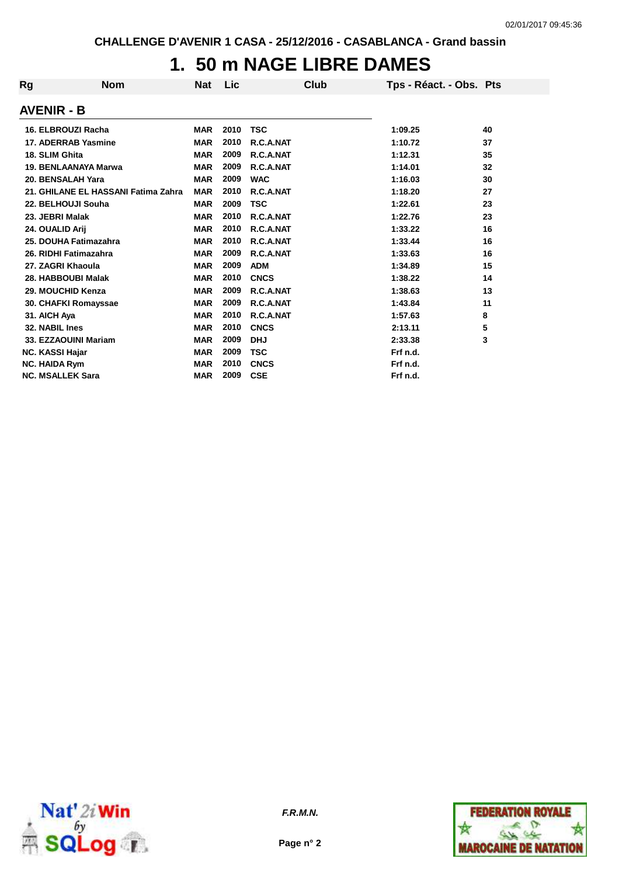## **1. 50 m NAGE LIBRE DAMES**

| Rg | <b>Nom</b>                          | <b>Nat</b> | Lic  | Club        | Tps - Réact. - Obs. Pts |    |
|----|-------------------------------------|------------|------|-------------|-------------------------|----|
|    | <b>AVENIR - B</b>                   |            |      |             |                         |    |
|    | 16. ELBROUZI Racha                  | <b>MAR</b> | 2010 | <b>TSC</b>  | 1:09.25                 | 40 |
|    | 17. ADERRAB Yasmine                 | <b>MAR</b> | 2010 | R.C.A.NAT   | 1:10.72                 | 37 |
|    | 18. SLIM Ghita                      | <b>MAR</b> | 2009 | R.C.A.NAT   | 1:12.31                 | 35 |
|    | 19. BENLAANAYA Marwa                | <b>MAR</b> | 2009 | R.C.A.NAT   | 1:14.01                 | 32 |
|    | 20. BENSALAH Yara                   | <b>MAR</b> | 2009 | <b>WAC</b>  | 1:16.03                 | 30 |
|    | 21. GHILANE EL HASSANI Fatima Zahra | <b>MAR</b> | 2010 | R.C.A.NAT   | 1:18.20                 | 27 |
|    | 22. BELHOUJI Souha                  | <b>MAR</b> | 2009 | <b>TSC</b>  | 1:22.61                 | 23 |
|    | 23. JEBRI Malak                     | <b>MAR</b> | 2010 | R.C.A.NAT   | 1:22.76                 | 23 |
|    | 24. OUALID Arij                     | <b>MAR</b> | 2010 | R.C.A.NAT   | 1:33.22                 | 16 |
|    | 25. DOUHA Fatimazahra               | <b>MAR</b> | 2010 | R.C.A.NAT   | 1:33.44                 | 16 |
|    | 26. RIDHI Fatimazahra               | <b>MAR</b> | 2009 | R.C.A.NAT   | 1:33.63                 | 16 |
|    | 27. ZAGRI Khaoula                   | <b>MAR</b> | 2009 | <b>ADM</b>  | 1:34.89                 | 15 |
|    | 28. HABBOUBI Malak                  | <b>MAR</b> | 2010 | <b>CNCS</b> | 1:38.22                 | 14 |
|    | 29. MOUCHID Kenza                   | <b>MAR</b> | 2009 | R.C.A.NAT   | 1:38.63                 | 13 |
|    | 30. CHAFKI Romayssae                | <b>MAR</b> | 2009 | R.C.A.NAT   | 1:43.84                 | 11 |
|    | 31. AICH Aya                        | <b>MAR</b> | 2010 | R.C.A.NAT   | 1:57.63                 | 8  |
|    | 32. NABIL Ines                      | <b>MAR</b> | 2010 | <b>CNCS</b> | 2:13.11                 | 5  |
|    | 33. EZZAOUINI Mariam                | <b>MAR</b> | 2009 | <b>DHJ</b>  | 2:33.38                 | 3  |
|    | <b>NC. KASSI Hajar</b>              | <b>MAR</b> | 2009 | <b>TSC</b>  | Frf n.d.                |    |
|    | <b>NC. HAIDA Rym</b>                | <b>MAR</b> | 2010 | <b>CNCS</b> | Frf n.d.                |    |
|    | <b>NC. MSALLEK Sara</b>             | <b>MAR</b> | 2009 | <b>CSE</b>  | Frf n.d.                |    |



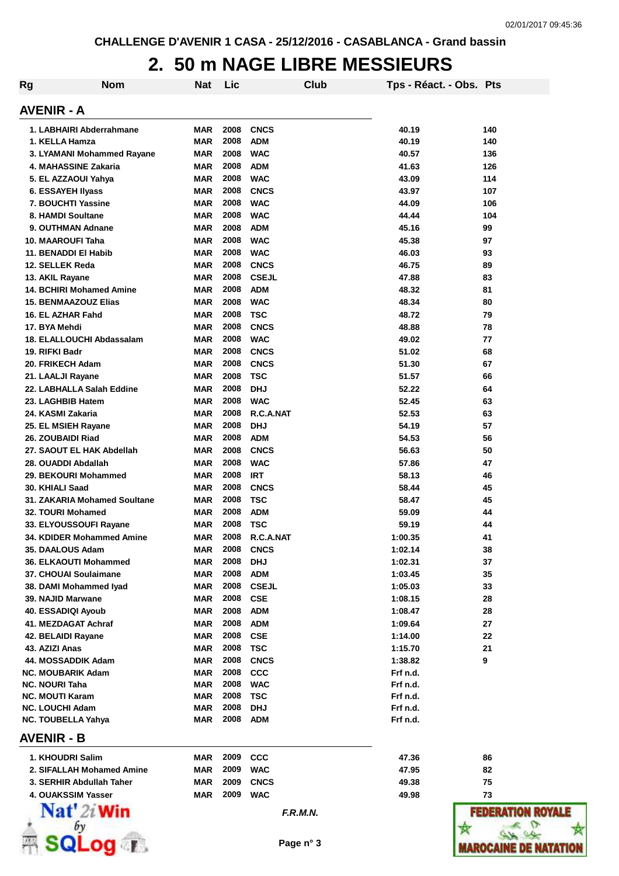#### **2. 50 m NAGE LIBRE MESSIEURS**

| Rg | <b>Nom</b>                                        | Nat                      | Lic          |                          | Club | Tps - Réact. - Obs. Pts |             |
|----|---------------------------------------------------|--------------------------|--------------|--------------------------|------|-------------------------|-------------|
|    | <b>AVENIR - A</b>                                 |                          |              |                          |      |                         |             |
|    | 1. LABHAIRI Abderrahmane                          | MAR                      | 2008         | <b>CNCS</b>              |      | 40.19                   | 140         |
|    | 1. KELLA Hamza                                    | MAR                      | 2008         | <b>ADM</b>               |      | 40.19                   | 140         |
|    | 3. LYAMANI Mohammed Rayane                        | MAR                      | 2008         | <b>WAC</b>               |      | 40.57                   | 136         |
|    | 4. MAHASSINE Zakaria                              | MAR                      | 2008         | <b>ADM</b>               |      | 41.63                   | 126         |
|    | 5. EL AZZAOUI Yahya                               | MAR                      | 2008         | <b>WAC</b>               |      | 43.09                   | 114         |
|    | 6. ESSAYEH Ilyass                                 | MAR                      | 2008         | <b>CNCS</b>              |      | 43.97                   | 107         |
|    | 7. BOUCHTI Yassine                                | MAR                      | 2008         | <b>WAC</b>               |      | 44.09                   | 106         |
|    | 8. HAMDI Soultane                                 | MAR                      | 2008         | <b>WAC</b>               |      | 44.44                   | 104         |
|    | 9. OUTHMAN Adnane                                 | MAR                      | 2008         | <b>ADM</b>               |      | 45.16                   | 99          |
|    | 10. MAAROUFI Taha                                 | MAR                      | 2008         | <b>WAC</b>               |      | 45.38                   | 97          |
|    | 11. BENADDI EI Habib                              | MAR                      | 2008         | <b>WAC</b>               |      | 46.03                   | 93          |
|    | 12. SELLEK Reda                                   | MAR                      | 2008         | <b>CNCS</b>              |      | 46.75                   | 89          |
|    | 13. AKIL Rayane                                   | MAR                      | 2008         | <b>CSEJL</b>             |      | 47.88                   | 83          |
|    | 14. BCHIRI Mohamed Amine                          | MAR                      | 2008         | <b>ADM</b>               |      | 48.32                   | 81          |
|    | <b>15. BENMAAZOUZ Elias</b>                       | MAR                      | 2008         | <b>WAC</b>               |      | 48.34                   | 80          |
|    | 16. EL AZHAR Fahd                                 | MAR                      | 2008         | <b>TSC</b>               |      | 48.72                   | 79          |
|    | 17. BYA Mehdi                                     | MAR                      | 2008         | <b>CNCS</b>              |      | 48.88                   | 78          |
|    | 18. ELALLOUCHI Abdassalam                         | MAR                      | 2008         | <b>WAC</b>               |      | 49.02                   | 77          |
|    | 19. RIFKI Badr                                    | MAR                      | 2008         | <b>CNCS</b>              |      | 51.02                   | 68          |
|    | 20. FRIKECH Adam                                  | MAR                      | 2008         | <b>CNCS</b>              |      | 51.30                   | 67          |
|    | 21. LAALJI Rayane                                 | MAR                      | 2008         | <b>TSC</b>               |      | 51.57                   | 66          |
|    | 22. LABHALLA Salah Eddine                         | MAR                      | 2008         | <b>DHJ</b>               |      | 52.22                   | 64          |
|    | 23. LAGHBIB Hatem                                 | MAR                      | 2008         | <b>WAC</b>               |      | 52.45                   | 63          |
|    | 24. KASMI Zakaria                                 | MAR                      | 2008         | R.C.A.NAT                |      | 52.53                   | 63          |
|    | 25. EL MSIEH Rayane                               | MAR                      | 2008         | <b>DHJ</b>               |      | 54.19                   | 57          |
|    | 26. ZOUBAIDI Riad                                 | MAR                      | 2008         | <b>ADM</b>               |      | 54.53                   | 56          |
|    | 27. SAOUT EL HAK Abdellah                         | MAR                      | 2008         | <b>CNCS</b>              |      | 56.63                   | 50          |
|    | 28. OUADDI Abdallah                               | MAR                      | 2008         | <b>WAC</b>               |      | 57.86                   | 47          |
|    | 29. BEKOURI Mohammed                              | MAR                      | 2008         | <b>IRT</b>               |      | 58.13                   | 46          |
|    | 30. KHIALI Saad                                   | MAR                      | 2008         | <b>CNCS</b>              |      | 58.44                   | 45          |
|    | 31. ZAKARIA Mohamed Soultane                      | MAR                      | 2008         | <b>TSC</b>               |      | 58.47                   | 45          |
|    | 32. TOURI Mohamed                                 | MAR                      | 2008         | <b>ADM</b>               |      | 59.09                   | 44          |
|    | 33. ELYOUSSOUFI Rayane                            | MAR                      | 2008         | <b>TSC</b>               |      | 59.19                   | 44          |
|    | 34. KDIDER Mohammed Amine                         | MAR                      | 2008         | R.C.A.NAT                |      | 1:00.35                 | 41          |
|    | 35. DAALOUS Adam                                  | MAR                      | 2008         | <b>CNCS</b>              |      | 1:02.14                 | 38          |
|    | 36. ELKAOUTI Mohammed                             | MAR                      | 2008         | <b>DHJ</b>               |      | 1:02.31                 | 37          |
|    | 37. CHOUAI Soulaimane                             | MAR                      | 2008         | <b>ADM</b>               |      | 1:03.45                 | 35          |
|    | 38. DAMI Mohammed Iyad                            | MAR                      | 2008         | <b>CSEJL</b>             |      | 1:05.03                 | 33          |
|    | 39. NAJID Marwane                                 | MAR                      | 2008         | <b>CSE</b>               |      | 1:08.15                 | 28          |
|    | 40. ESSADIQI Ayoub                                | MAR                      | 2008         | <b>ADM</b>               |      | 1:08.47                 | 28          |
|    |                                                   | MAR                      | 2008         | <b>ADM</b>               |      |                         | 27          |
|    | 41. MEZDAGAT Achraf                               |                          | 2008         |                          |      | 1:09.64                 |             |
|    | 42. BELAIDI Rayane<br>43. AZIZI Anas              | MAR                      |              | <b>CSE</b>               |      | 1:14.00                 | 22          |
|    |                                                   | MAR                      | 2008         | <b>TSC</b>               |      | 1:15.70                 | 21          |
|    | 44. MOSSADDIK Adam                                | MAR                      | 2008<br>2008 | <b>CNCS</b>              |      | 1:38.82                 | 9           |
|    | <b>NC. MOUBARIK Adam</b><br><b>NC. NOURI Taha</b> | <b>MAR</b><br><b>MAR</b> | 2008         | <b>CCC</b><br><b>WAC</b> |      | Frf n.d.<br>Frf n.d.    |             |
|    | <b>NC. MOUTI Karam</b>                            | MAR                      | 2008         | <b>TSC</b>               |      | Frf n.d.                |             |
|    | <b>NC. LOUCHI Adam</b>                            | MAR                      | 2008         | <b>DHJ</b>               |      | Frf n.d.                |             |
|    | <b>NC. TOUBELLA Yahya</b>                         | MAR                      | 2008         | ADM                      |      | Frf n.d.                |             |
|    | AVENIR - B                                        |                          |              |                          |      |                         |             |
|    | 1. KHOUDRI Salim                                  | MAR                      | 2009         | <b>CCC</b>               |      | 47.36                   | 86          |
|    | 2. SIFALLAH Mohamed Amine                         | MAR                      | 2009         | <b>WAC</b>               |      | 47.95                   | 82          |
|    | 3. SERHIR Abdullah Taher                          | MAR                      | 2009         | <b>CNCS</b>              |      | 49.38                   | 75          |
|    | 4. OUAKSSIM Yasser                                | MAR                      | 2009         | <b>WAC</b>               |      | 49.98                   | 73          |
|    |                                                   |                          |              |                          |      |                         |             |
|    | $\mathbf{Nat}'$ 2i Win                            |                          |              | F.R.M.N.                 |      |                         | FEDER       |
|    |                                                   |                          |              |                          |      |                         |             |
|    | $1$ i po.                                         |                          |              | Page n° 3                |      |                         |             |
|    |                                                   |                          |              |                          |      |                         | <b>TROC</b> |



**ROYALE**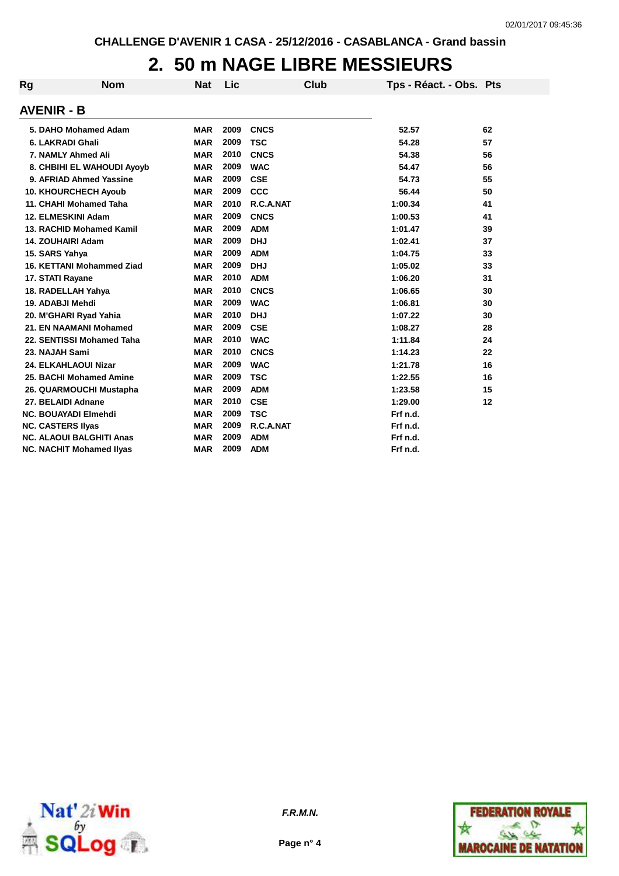## **2. 50 m NAGE LIBRE MESSIEURS**

| Rg | <b>Nom</b>                      | <b>Nat</b> | Lic  | <b>Club</b> | Tps - Réact. - Obs. Pts |    |
|----|---------------------------------|------------|------|-------------|-------------------------|----|
|    | <b>AVENIR - B</b>               |            |      |             |                         |    |
|    | 5. DAHO Mohamed Adam            | <b>MAR</b> | 2009 | <b>CNCS</b> | 52.57                   | 62 |
|    | 6. LAKRADI Ghali                | <b>MAR</b> | 2009 | <b>TSC</b>  | 54.28                   | 57 |
|    | 7. NAMLY Ahmed Ali              | <b>MAR</b> | 2010 | <b>CNCS</b> | 54.38                   | 56 |
|    | 8. CHBIHI EL WAHOUDI Ayoyb      | <b>MAR</b> | 2009 | <b>WAC</b>  | 54.47                   | 56 |
|    | 9. AFRIAD Ahmed Yassine         | <b>MAR</b> | 2009 | <b>CSE</b>  | 54.73                   | 55 |
|    | <b>10. KHOURCHECH Ayoub</b>     | <b>MAR</b> | 2009 | <b>CCC</b>  | 56.44                   | 50 |
|    | 11. CHAHI Mohamed Taha          | <b>MAR</b> | 2010 | R.C.A.NAT   | 1:00.34                 | 41 |
|    | 12. ELMESKINI Adam              | <b>MAR</b> | 2009 | <b>CNCS</b> | 1:00.53                 | 41 |
|    | 13. RACHID Mohamed Kamil        | <b>MAR</b> | 2009 | <b>ADM</b>  | 1:01.47                 | 39 |
|    | <b>14. ZOUHAIRI Adam</b>        | <b>MAR</b> | 2009 | <b>DHJ</b>  | 1:02.41                 | 37 |
|    | 15. SARS Yahya                  | <b>MAR</b> | 2009 | <b>ADM</b>  | 1:04.75                 | 33 |
|    | 16. KETTANI Mohammed Ziad       | <b>MAR</b> | 2009 | <b>DHJ</b>  | 1:05.02                 | 33 |
|    | 17. STATI Rayane                | <b>MAR</b> | 2010 | <b>ADM</b>  | 1:06.20                 | 31 |
|    | 18. RADELLAH Yahya              | <b>MAR</b> | 2010 | <b>CNCS</b> | 1:06.65                 | 30 |
|    | 19. ADABJI Mehdi                | <b>MAR</b> | 2009 | <b>WAC</b>  | 1:06.81                 | 30 |
|    | 20. M'GHARI Ryad Yahia          | <b>MAR</b> | 2010 | <b>DHJ</b>  | 1:07.22                 | 30 |
|    | 21. EN NAAMANI Mohamed          | <b>MAR</b> | 2009 | <b>CSE</b>  | 1:08.27                 | 28 |
|    | 22. SENTISSI Mohamed Taha       | <b>MAR</b> | 2010 | <b>WAC</b>  | 1:11.84                 | 24 |
|    | 23. NAJAH Sami                  | <b>MAR</b> | 2010 | <b>CNCS</b> | 1:14.23                 | 22 |
|    | 24. ELKAHLAOUI Nizar            | <b>MAR</b> | 2009 | <b>WAC</b>  | 1:21.78                 | 16 |
|    | 25. BACHI Mohamed Amine         | <b>MAR</b> | 2009 | <b>TSC</b>  | 1:22.55                 | 16 |
|    | 26. QUARMOUCHI Mustapha         | <b>MAR</b> | 2009 | <b>ADM</b>  | 1:23.58                 | 15 |
|    | 27. BELAIDI Adnane              | <b>MAR</b> | 2010 | <b>CSE</b>  | 1:29.00                 | 12 |
|    | <b>NC. BOUAYADI Elmehdi</b>     | <b>MAR</b> | 2009 | <b>TSC</b>  | Frf n.d.                |    |
|    | <b>NC. CASTERS Ilyas</b>        | <b>MAR</b> | 2009 | R.C.A.NAT   | Frf n.d.                |    |
|    | <b>NC. ALAOUI BALGHITI Anas</b> | <b>MAR</b> | 2009 | <b>ADM</b>  | Frf n.d.                |    |
|    | <b>NC. NACHIT Mohamed Ilyas</b> | <b>MAR</b> | 2009 | <b>ADM</b>  | Frf n.d.                |    |



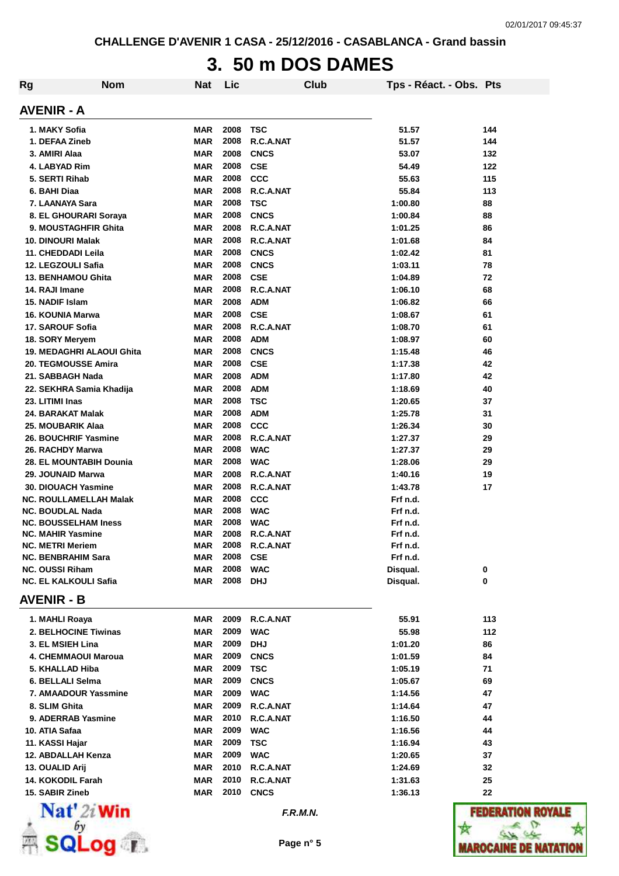**CHALLENGE D'AVENIR 1 CASA - 25/12/2016 - CASABLANCA - Grand bassin**

# **3. 50 m DOS DAMES**

| <b>Rg</b> | <b>Nom</b>                                          | Nat                      | Lic          | Club                    | Tps - Réact. - Obs. Pts |              |
|-----------|-----------------------------------------------------|--------------------------|--------------|-------------------------|-------------------------|--------------|
|           | <b>AVENIR - A</b>                                   |                          |              |                         |                         |              |
|           | 1. MAKY Sofia                                       | <b>MAR</b>               | 2008         | TSC                     | 51.57                   | 144          |
|           | 1. DEFAA Zineb                                      | <b>MAR</b>               | 2008         | R.C.A.NAT               | 51.57                   | 144          |
|           | 3. AMIRI Alaa                                       | <b>MAR</b>               | 2008         | <b>CNCS</b>             | 53.07                   | 132          |
|           | 4. LABYAD Rim                                       | <b>MAR</b>               | 2008         | <b>CSE</b>              | 54.49                   | 122          |
|           | 5. SERTI Rihab                                      | <b>MAR</b>               | 2008         | CCC                     | 55.63                   | 115          |
|           | 6. BAHI Diaa                                        | <b>MAR</b>               | 2008         | R.C.A.NAT               | 55.84                   | 113          |
|           | 7. LAANAYA Sara                                     | <b>MAR</b>               | 2008         | <b>TSC</b>              | 1:00.80                 | 88           |
|           | 8. EL GHOURARI Soraya                               | <b>MAR</b>               | 2008         | <b>CNCS</b>             | 1:00.84                 | 88           |
|           | 9. MOUSTAGHFIR Ghita                                | <b>MAR</b>               | 2008         | R.C.A.NAT               | 1:01.25                 | 86           |
|           | <b>10. DINOURI Malak</b>                            | <b>MAR</b>               | 2008         | R.C.A.NAT               | 1:01.68                 | 84           |
|           | 11. CHEDDADI Leila                                  | <b>MAR</b>               | 2008         | <b>CNCS</b>             | 1:02.42                 | 81           |
|           | 12. LEGZOULI Safia                                  | <b>MAR</b>               | 2008         | <b>CNCS</b>             | 1:03.11                 | 78           |
|           | <b>13. BENHAMOU Ghita</b>                           | <b>MAR</b>               | 2008         | <b>CSE</b>              | 1:04.89                 | 72           |
|           | 14. RAJI Imane                                      | <b>MAR</b>               | 2008         | R.C.A.NAT               | 1:06.10                 | 68           |
|           | 15. NADIF Islam                                     | <b>MAR</b>               | 2008         | <b>ADM</b>              | 1:06.82                 | 66           |
|           | 16. KOUNIA Marwa                                    | <b>MAR</b>               | 2008         | <b>CSE</b>              | 1:08.67                 | 61           |
|           | 17. SAROUF Sofia                                    | <b>MAR</b>               | 2008         | R.C.A.NAT               | 1:08.70                 | 61           |
|           | 18. SORY Meryem                                     | <b>MAR</b>               | 2008         | <b>ADM</b>              | 1:08.97                 | 60           |
|           | <b>19. MEDAGHRI ALAOUI Ghita</b>                    | <b>MAR</b>               | 2008         | <b>CNCS</b>             | 1:15.48                 | 46           |
|           | <b>20. TEGMOUSSE Amira</b>                          | <b>MAR</b>               | 2008         | <b>CSE</b>              | 1:17.38                 | 42           |
|           | 21. SABBAGH Nada                                    | <b>MAR</b>               | 2008         | <b>ADM</b>              | 1:17.80                 | 42           |
|           | 22. SEKHRA Samia Khadija                            | <b>MAR</b>               | 2008         | <b>ADM</b>              | 1:18.69                 | 40           |
|           | 23. LITIMI Inas                                     | <b>MAR</b>               | 2008         | <b>TSC</b>              | 1:20.65                 | 37           |
|           | 24. BARAKAT Malak                                   | <b>MAR</b>               | 2008         | <b>ADM</b>              | 1:25.78                 | 31           |
|           | 25. MOUBARIK Alaa                                   | <b>MAR</b>               | 2008         | <b>CCC</b>              | 1:26.34                 | 30           |
|           | 26. BOUCHRIF Yasmine                                | <b>MAR</b>               | 2008         | R.C.A.NAT               | 1:27.37                 | 29           |
|           | 26. RACHDY Marwa                                    | <b>MAR</b>               | 2008         | <b>WAC</b>              | 1:27.37                 | 29           |
|           | 28. EL MOUNTABIH Dounia                             | <b>MAR</b>               | 2008         | <b>WAC</b>              | 1:28.06                 | 29           |
|           | 29. JOUNAID Marwa                                   | <b>MAR</b>               | 2008         | R.C.A.NAT               | 1:40.16                 | 19           |
|           | <b>30. DIOUACH Yasmine</b>                          | MAR                      | 2008         | R.C.A.NAT               | 1:43.78                 | 17           |
|           | NC. ROULLAMELLAH Malak                              | MAR                      | 2008         | <b>CCC</b>              | Frf n.d.                |              |
|           | NC. BOUDLAL Nada                                    | <b>MAR</b>               | 2008         | <b>WAC</b>              | Frf n.d.                |              |
|           | <b>NC. BOUSSELHAM Iness</b>                         | <b>MAR</b>               | 2008         | <b>WAC</b>              | Frf n.d.                |              |
|           | <b>NC. MAHIR Yasmine</b><br><b>NC. METRI Meriem</b> | MAR<br>MAR               | 2008<br>2008 | R.C.A.NAT               | Frf n.d.<br>Frf n.d.    |              |
|           | <b>NC. BENBRAHIM Sara</b>                           | <b>MAR</b>               | 2008         | R.C.A.NAT<br><b>CSE</b> | Frf n.d.                |              |
|           | <b>NC. OUSSI Riham</b>                              | <b>MAR</b>               | 2008         | <b>WAC</b>              | Disqual.                | 0            |
|           | <b>NC. EL KALKOULI Safia</b>                        | MAR                      | 2008         | <b>DHJ</b>              | Disqual.                | 0            |
|           | <b>AVENIR - B</b>                                   |                          |              |                         |                         |              |
|           |                                                     |                          |              |                         |                         |              |
|           | 1. MAHLI Roaya<br>2. BELHOCINE Tiwinas              | <b>MAR</b>               | 2009<br>2009 | R.C.A.NAT               | 55.91                   | 113          |
|           |                                                     | <b>MAR</b><br><b>MAR</b> | 2009         | <b>WAC</b>              | 55.98                   | 112          |
|           | 3. EL MSIEH Lina                                    |                          | 2009         | <b>DHJ</b>              | 1:01.20                 | 86<br>84     |
|           | 4. CHEMMAOUI Maroua                                 | <b>MAR</b>               | 2009         | <b>CNCS</b>             | 1:01.59                 |              |
|           | 5. KHALLAD Hiba<br>6. BELLALI Selma                 | <b>MAR</b>               | 2009         | <b>TSC</b>              | 1:05.19                 | 71<br>69     |
|           | 7. AMAADOUR Yassmine                                | <b>MAR</b>               | 2009         | <b>CNCS</b>             | 1:05.67                 | 47           |
|           | 8. SLIM Ghita                                       | <b>MAR</b><br><b>MAR</b> | 2009         | <b>WAC</b><br>R.C.A.NAT | 1:14.56                 | 47           |
|           | 9. ADERRAB Yasmine                                  | <b>MAR</b>               | 2010         | R.C.A.NAT               | 1:14.64<br>1:16.50      | 44           |
|           | 10. ATIA Safaa                                      | <b>MAR</b>               | 2009         | <b>WAC</b>              | 1:16.56                 | 44           |
|           | 11. KASSI Hajar                                     | <b>MAR</b>               | 2009         | <b>TSC</b>              | 1:16.94                 | 43           |
|           | 12. ABDALLAH Kenza                                  | <b>MAR</b>               | 2009         | <b>WAC</b>              | 1:20.65                 | 37           |
|           | 13. OUALID Arij                                     | <b>MAR</b>               | 2010         | R.C.A.NAT               | 1:24.69                 | 32           |
|           | 14. KOKODIL Farah                                   | <b>MAR</b>               | 2010         | R.C.A.NAT               | 1:31.63                 | 25           |
|           | 15. SABIR Zineb                                     | <b>MAR</b>               | 2010         | <b>CNCS</b>             | 1:36.13                 | 22           |
|           | $\mathbf{Nat}'$ 2i Win                              |                          |              | F.R.M.N.                |                         | FEDERATIO    |
|           | bν                                                  |                          |              |                         |                         |              |
|           |                                                     |                          |              |                         |                         |              |
|           | SQLog r                                             |                          |              | Page n° 5               |                         | WAROCAINE DE |

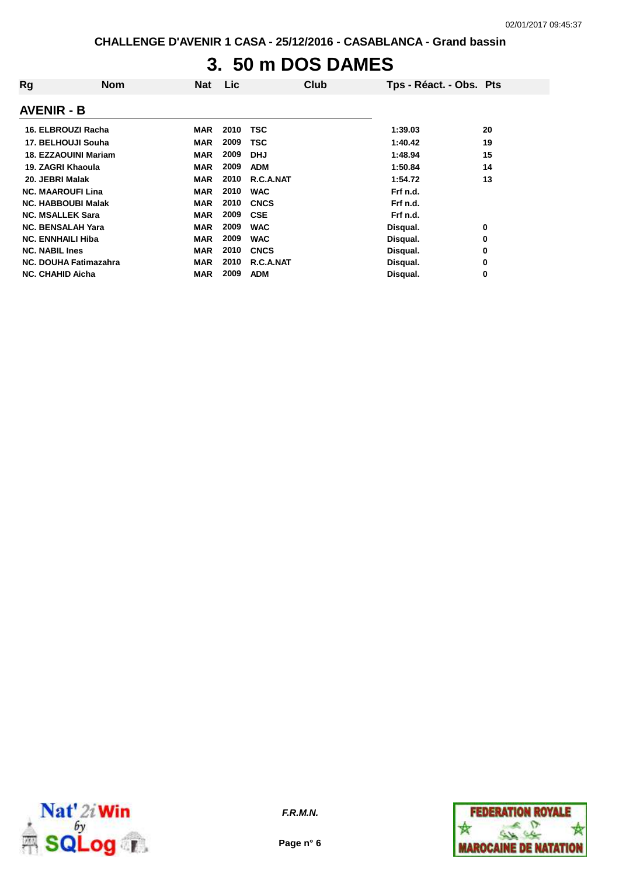## **3. 50 m DOS DAMES**

| Rg                          | <b>Nom</b> | <b>Nat</b> | Lic  | Club        | Tps - Réact. - Obs. Pts |    |
|-----------------------------|------------|------------|------|-------------|-------------------------|----|
| <b>AVENIR - B</b>           |            |            |      |             |                         |    |
| 16. ELBROUZI Racha          |            | <b>MAR</b> | 2010 | <b>TSC</b>  | 1:39.03                 | 20 |
| 17. BELHOUJI Souha          |            | <b>MAR</b> | 2009 | <b>TSC</b>  | 1:40.42                 | 19 |
| <b>18. EZZAOUINI Mariam</b> |            | <b>MAR</b> | 2009 | <b>DHJ</b>  | 1:48.94                 | 15 |
| 19. ZAGRI Khaoula           |            | <b>MAR</b> | 2009 | <b>ADM</b>  | 1:50.84                 | 14 |
| 20. JEBRI Malak             |            | <b>MAR</b> | 2010 | R.C.A.NAT   | 1:54.72                 | 13 |
| <b>NC. MAAROUFI Lina</b>    |            | <b>MAR</b> | 2010 | <b>WAC</b>  | Frf n.d.                |    |
| <b>NC. HABBOUBI Malak</b>   |            | <b>MAR</b> | 2010 | <b>CNCS</b> | Frf n.d.                |    |
| <b>NC. MSALLEK Sara</b>     |            | <b>MAR</b> | 2009 | <b>CSE</b>  | Frf n.d.                |    |
| <b>NC. BENSALAH Yara</b>    |            | <b>MAR</b> | 2009 | <b>WAC</b>  | Disqual.                | 0  |
| <b>NC. ENNHAILI Hiba</b>    |            | <b>MAR</b> | 2009 | <b>WAC</b>  | Disqual.                | 0  |
| <b>NC. NABIL Ines</b>       |            | <b>MAR</b> | 2010 | <b>CNCS</b> | Disqual.                | 0  |
| NC. DOUHA Fatimazahra       |            | <b>MAR</b> | 2010 | R.C.A.NAT   | Disqual.                | 0  |
| <b>NC. CHAHID Aicha</b>     |            | <b>MAR</b> | 2009 | <b>ADM</b>  | Disqual.                | 0  |



**Page n° 6**

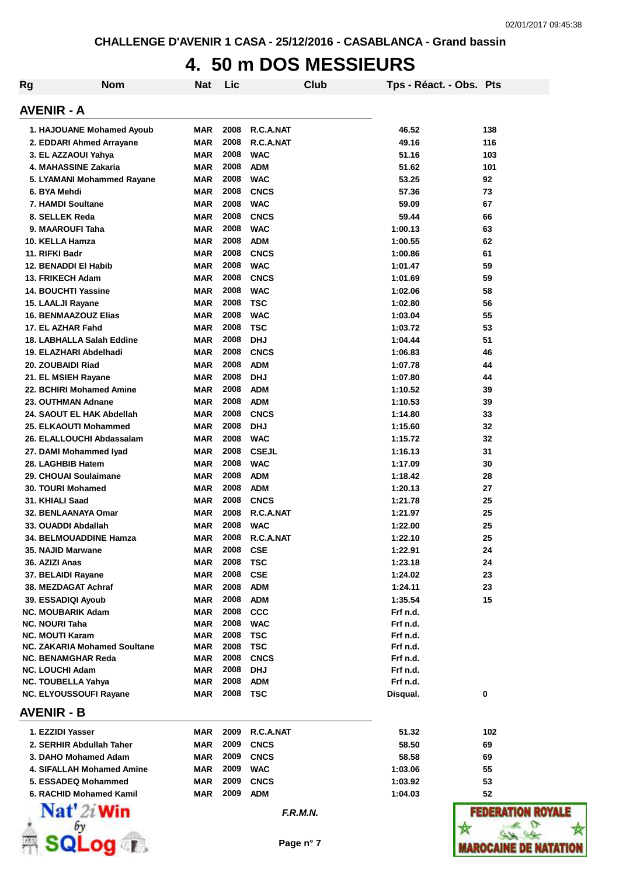#### **4. 50 m DOS MESSIEURS**

| Rg | <b>Nom</b>                                     | Nat                      | Lic          | Club                      | Tps - Réact. - Obs. Pts |              |
|----|------------------------------------------------|--------------------------|--------------|---------------------------|-------------------------|--------------|
|    | <b>AVENIR - A</b>                              |                          |              |                           |                         |              |
|    | 1. HAJOUANE Mohamed Ayoub                      | <b>MAR</b>               | 2008         | R.C.A.NAT                 | 46.52                   | 138          |
|    | 2. EDDARI Ahmed Arrayane                       | <b>MAR</b>               | 2008         | R.C.A.NAT                 | 49.16                   | 116          |
|    | 3. EL AZZAOUI Yahya                            | <b>MAR</b>               | 2008         | <b>WAC</b>                | 51.16                   | 103          |
|    | 4. MAHASSINE Zakaria                           | <b>MAR</b>               | 2008         | <b>ADM</b>                | 51.62                   | 101          |
|    | 5. LYAMANI Mohammed Rayane                     | <b>MAR</b>               | 2008         | <b>WAC</b>                | 53.25                   | 92           |
|    | 6. BYA Mehdi                                   | <b>MAR</b>               | 2008         | <b>CNCS</b>               | 57.36                   | 73           |
|    | 7. HAMDI Soultane                              | <b>MAR</b>               | 2008         | <b>WAC</b>                | 59.09                   | 67           |
|    | 8. SELLEK Reda                                 | <b>MAR</b>               | 2008         | <b>CNCS</b>               | 59.44                   | 66           |
|    | 9. MAAROUFI Taha                               | <b>MAR</b>               | 2008         | <b>WAC</b>                | 1:00.13                 | 63           |
|    | 10. KELLA Hamza                                | <b>MAR</b>               | 2008         | <b>ADM</b>                | 1:00.55                 | 62           |
|    | 11. RIFKI Badr                                 | <b>MAR</b>               | 2008         | <b>CNCS</b>               | 1:00.86                 | 61           |
|    | 12. BENADDI EI Habib                           | <b>MAR</b>               | 2008         | <b>WAC</b>                | 1:01.47                 | 59           |
|    | 13. FRIKECH Adam<br><b>14. BOUCHTI Yassine</b> | <b>MAR</b><br><b>MAR</b> | 2008<br>2008 | <b>CNCS</b><br><b>WAC</b> | 1:01.69<br>1:02.06      | 59<br>58     |
|    | 15. LAALJI Rayane                              | <b>MAR</b>               | 2008         | <b>TSC</b>                | 1:02.80                 | 56           |
|    | <b>16. BENMAAZOUZ Elias</b>                    | <b>MAR</b>               | 2008         | <b>WAC</b>                | 1:03.04                 | 55           |
|    | 17. EL AZHAR Fahd                              | <b>MAR</b>               | 2008         | <b>TSC</b>                | 1:03.72                 | 53           |
|    | 18. LABHALLA Salah Eddine                      | <b>MAR</b>               | 2008         | <b>DHJ</b>                | 1:04.44                 | 51           |
|    | 19. ELAZHARI Abdelhadi                         | <b>MAR</b>               | 2008         | <b>CNCS</b>               | 1:06.83                 | 46           |
|    | 20. ZOUBAIDI Riad                              | <b>MAR</b>               | 2008         | <b>ADM</b>                | 1:07.78                 | 44           |
|    | 21. EL MSIEH Rayane                            | <b>MAR</b>               | 2008         | <b>DHJ</b>                | 1:07.80                 | 44           |
|    | 22. BCHIRI Mohamed Amine                       | <b>MAR</b>               | 2008         | <b>ADM</b>                | 1:10.52                 | 39           |
|    | 23. OUTHMAN Adnane                             | <b>MAR</b>               | 2008         | <b>ADM</b>                | 1:10.53                 | 39           |
|    | 24. SAOUT EL HAK Abdellah                      | <b>MAR</b>               | 2008         | <b>CNCS</b>               | 1:14.80                 | 33           |
|    | 25. ELKAOUTI Mohammed                          | <b>MAR</b>               | 2008         | <b>DHJ</b>                | 1:15.60                 | 32           |
|    | 26. ELALLOUCHI Abdassalam                      | <b>MAR</b>               | 2008         | <b>WAC</b>                | 1:15.72                 | 32           |
|    | 27. DAMI Mohammed Iyad                         | <b>MAR</b>               | 2008         | <b>CSEJL</b>              | 1:16.13                 | 31           |
|    | 28. LAGHBIB Hatem                              | <b>MAR</b>               | 2008         | <b>WAC</b>                | 1:17.09                 | 30           |
|    | 29. CHOUAI Soulaimane                          | <b>MAR</b>               | 2008         | <b>ADM</b>                | 1:18.42                 | 28           |
|    | <b>30. TOURI Mohamed</b>                       | <b>MAR</b>               | 2008         | <b>ADM</b>                | 1:20.13                 | 27           |
|    | 31. KHIALI Saad                                | <b>MAR</b>               | 2008         | <b>CNCS</b>               | 1:21.78                 | 25           |
|    | 32. BENLAANAYA Omar                            | <b>MAR</b>               | 2008         | R.C.A.NAT                 | 1:21.97                 | 25           |
|    | 33. OUADDI Abdallah                            | <b>MAR</b>               | 2008         | <b>WAC</b>                | 1:22.00                 | 25           |
|    | 34. BELMOUADDINE Hamza                         | <b>MAR</b>               | 2008         | R.C.A.NAT                 | 1:22.10                 | 25           |
|    | <b>35. NAJID Marwane</b><br>36. AZIZI Anas     | <b>MAR</b><br><b>MAR</b> | 2008<br>2008 | <b>CSE</b><br><b>TSC</b>  | 1:22.91<br>1:23.18      | 24<br>24     |
|    | 37. BELAIDI Rayane                             | <b>MAR</b>               | 2008         | <b>CSE</b>                | 1:24.02                 | 23           |
|    | 38. MEZDAGAT Achraf                            | <b>MAR</b>               | 2008         | <b>ADM</b>                | 1:24.11                 | 23           |
|    | 39. ESSADIQI Ayoub                             | <b>MAR</b>               | 2008         | <b>ADM</b>                | 1:35.54                 | 15           |
|    | <b>NC. MOUBARIK Adam</b>                       | <b>MAR</b>               | 2008         | <b>CCC</b>                | Frf n.d.                |              |
|    | <b>NC. NOURI Taha</b>                          | <b>MAR</b>               | 2008         | <b>WAC</b>                | Frf n.d.                |              |
|    | <b>NC. MOUTI Karam</b>                         | <b>MAR</b>               | 2008         | <b>TSC</b>                | Frf n.d.                |              |
|    | NC. ZAKARIA Mohamed Soultane                   | <b>MAR</b>               | 2008         | <b>TSC</b>                | Frf n.d.                |              |
|    | <b>NC. BENAMGHAR Reda</b>                      | <b>MAR</b>               | 2008         | <b>CNCS</b>               | Frf n.d.                |              |
|    | <b>NC. LOUCHI Adam</b>                         | <b>MAR</b>               | 2008         | <b>DHJ</b>                | Frf n.d.                |              |
|    | NC. TOUBELLA Yahya                             | <b>MAR</b>               | 2008         | <b>ADM</b>                | Frf n.d.                |              |
|    | <b>NC. ELYOUSSOUFI Rayane</b>                  | <b>MAR</b>               | 2008         | TSC                       | Disqual.                | 0            |
|    | <b>AVENIR - B</b>                              |                          |              |                           |                         |              |
|    | 1. EZZIDI Yasser                               | <b>MAR</b>               | 2009         | R.C.A.NAT                 | 51.32                   | 102          |
|    | 2. SERHIR Abdullah Taher                       | <b>MAR</b>               | 2009         | <b>CNCS</b>               | 58.50                   | 69           |
|    | 3. DAHO Mohamed Adam                           | <b>MAR</b>               | 2009         | <b>CNCS</b>               | 58.58                   | 69           |
|    | 4. SIFALLAH Mohamed Amine                      | <b>MAR</b>               | 2009         | <b>WAC</b>                | 1:03.06                 | 55           |
|    | 5. ESSADEQ Mohammed                            | <b>MAR</b>               | 2009         | <b>CNCS</b>               | 1:03.92                 | 53           |
|    | 6. RACHID Mohamed Kamil                        | <b>MAR</b>               | 2009         | <b>ADM</b>                | 1:04.03                 | 52           |
|    | Nat' 2i Win                                    |                          |              | F.R.M.N.                  |                         | <b>FEDER</b> |
|    |                                                |                          |              | Page n° 7                 |                         | WAROCAINE DE |

**ROYAL F**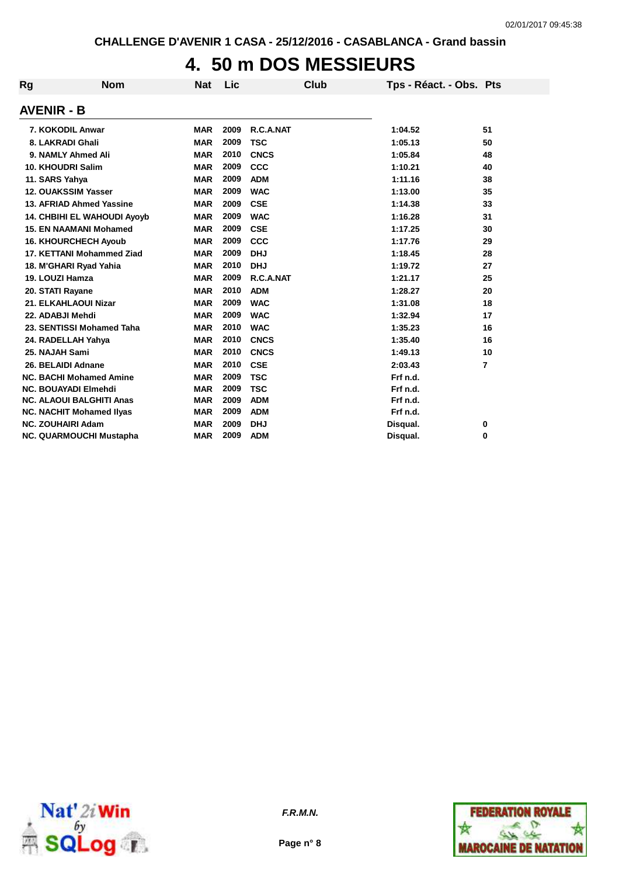## **4. 50 m DOS MESSIEURS**

| Rg                       | <b>Nom</b>                         | <b>Nat</b> | Lic  | Club        | Tps - Réact. - Obs. Pts |                |
|--------------------------|------------------------------------|------------|------|-------------|-------------------------|----------------|
| <b>AVENIR - B</b>        |                                    |            |      |             |                         |                |
|                          | 7. KOKODIL Anwar                   | <b>MAR</b> | 2009 | R.C.A.NAT   | 1:04.52                 | 51             |
|                          | 8. LAKRADI Ghali                   | <b>MAR</b> | 2009 | <b>TSC</b>  | 1:05.13                 | 50             |
|                          | 9. NAMLY Ahmed Ali                 | <b>MAR</b> | 2010 | <b>CNCS</b> | 1:05.84                 | 48             |
|                          | 10. KHOUDRI Salim                  | <b>MAR</b> | 2009 | CCC         | 1:10.21                 | 40             |
| 11. SARS Yahya           |                                    | <b>MAR</b> | 2009 | <b>ADM</b>  | 1:11.16                 | 38             |
|                          | 12. OUAKSSIM Yasser                | <b>MAR</b> | 2009 | <b>WAC</b>  | 1:13.00                 | 35             |
|                          | 13. AFRIAD Ahmed Yassine           | <b>MAR</b> | 2009 | <b>CSE</b>  | 1:14.38                 | 33             |
|                          | <b>14. CHBIHI EL WAHOUDI Avoyb</b> | <b>MAR</b> | 2009 | <b>WAC</b>  | 1:16.28                 | 31             |
|                          | <b>15. EN NAAMANI Mohamed</b>      | <b>MAR</b> | 2009 | <b>CSE</b>  | 1:17.25                 | 30             |
|                          | <b>16. KHOURCHECH Ayoub</b>        | <b>MAR</b> | 2009 | <b>CCC</b>  | 1:17.76                 | 29             |
|                          | 17. KETTANI Mohammed Ziad          | <b>MAR</b> | 2009 | <b>DHJ</b>  | 1:18.45                 | 28             |
|                          | 18. M'GHARI Ryad Yahia             | <b>MAR</b> | 2010 | <b>DHJ</b>  | 1:19.72                 | 27             |
| 19. LOUZI Hamza          |                                    | <b>MAR</b> | 2009 | R.C.A.NAT   | 1:21.17                 | 25             |
| 20. STATI Rayane         |                                    | <b>MAR</b> | 2010 | <b>ADM</b>  | 1:28.27                 | 20             |
|                          | 21. ELKAHLAOUI Nizar               | <b>MAR</b> | 2009 | <b>WAC</b>  | 1:31.08                 | 18             |
| 22. ADABJI Mehdi         |                                    | <b>MAR</b> | 2009 | <b>WAC</b>  | 1:32.94                 | 17             |
|                          | 23. SENTISSI Mohamed Taha          | <b>MAR</b> | 2010 | <b>WAC</b>  | 1:35.23                 | 16             |
|                          | 24. RADELLAH Yahya                 | <b>MAR</b> | 2010 | <b>CNCS</b> | 1:35.40                 | 16             |
| 25. NAJAH Sami           |                                    | <b>MAR</b> | 2010 | <b>CNCS</b> | 1:49.13                 | 10             |
|                          | 26. BELAIDI Adnane                 | <b>MAR</b> | 2010 | <b>CSE</b>  | 2:03.43                 | $\overline{7}$ |
|                          | <b>NC. BACHI Mohamed Amine</b>     | <b>MAR</b> | 2009 | <b>TSC</b>  | Frf n.d.                |                |
|                          | <b>NC. BOUAYADI Elmehdi</b>        | <b>MAR</b> | 2009 | <b>TSC</b>  | Frf n.d.                |                |
|                          | <b>NC. ALAOUI BALGHITI Anas</b>    | <b>MAR</b> | 2009 | <b>ADM</b>  | Frf n.d.                |                |
|                          | <b>NC. NACHIT Mohamed Ilyas</b>    | <b>MAR</b> | 2009 | <b>ADM</b>  | Frf n.d.                |                |
| <b>NC. ZOUHAIRI Adam</b> |                                    | <b>MAR</b> | 2009 | <b>DHJ</b>  | Disqual.                | 0              |
|                          | <b>NC. QUARMOUCHI Mustapha</b>     | <b>MAR</b> | 2009 | <b>ADM</b>  | Disqual.                | 0              |



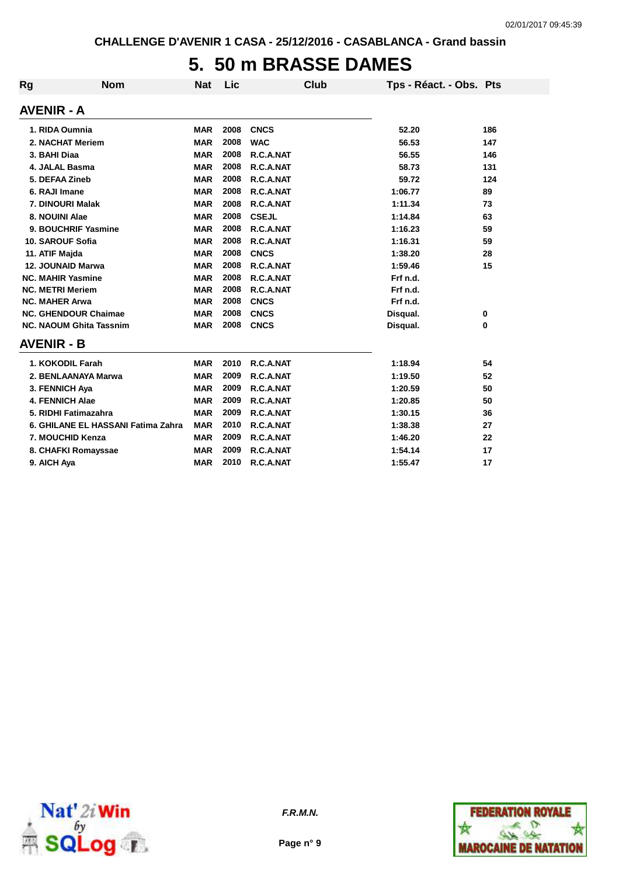## **5. 50 m BRASSE DAMES**

| Rg                      | <b>Nom</b>                         | <b>Nat</b> | Lic  | <b>Club</b>  | Tps - Réact. - Obs. Pts |     |
|-------------------------|------------------------------------|------------|------|--------------|-------------------------|-----|
| <b>AVENIR - A</b>       |                                    |            |      |              |                         |     |
|                         | 1. RIDA Oumnia                     | <b>MAR</b> | 2008 | <b>CNCS</b>  | 52.20                   | 186 |
|                         | 2. NACHAT Meriem                   | <b>MAR</b> | 2008 | <b>WAC</b>   | 56.53                   | 147 |
| 3. BAHI Diaa            |                                    | <b>MAR</b> | 2008 | R.C.A.NAT    | 56.55                   | 146 |
|                         | 4. JALAL Basma                     | <b>MAR</b> | 2008 | R.C.A.NAT    | 58.73                   | 131 |
| 5. DEFAA Zineb          |                                    | <b>MAR</b> | 2008 | R.C.A.NAT    | 59.72                   | 124 |
| 6. RAJI Imane           |                                    | <b>MAR</b> | 2008 | R.C.A.NAT    | 1:06.77                 | 89  |
|                         | 7. DINOURI Malak                   | <b>MAR</b> | 2008 | R.C.A.NAT    | 1:11.34                 | 73  |
| 8. NOUINI Alae          |                                    | <b>MAR</b> | 2008 | <b>CSEJL</b> | 1:14.84                 | 63  |
|                         | 9. BOUCHRIF Yasmine                | <b>MAR</b> | 2008 | R.C.A.NAT    | 1:16.23                 | 59  |
|                         | 10. SAROUF Sofia                   | <b>MAR</b> | 2008 | R.C.A.NAT    | 1:16.31                 | 59  |
| 11. ATIF Majda          |                                    | <b>MAR</b> | 2008 | <b>CNCS</b>  | 1:38.20                 | 28  |
|                         | 12. JOUNAID Marwa                  | <b>MAR</b> | 2008 | R.C.A.NAT    | 1:59.46                 | 15  |
|                         | <b>NC. MAHIR Yasmine</b>           | <b>MAR</b> | 2008 | R.C.A.NAT    | Frf n.d.                |     |
| <b>NC. METRI Meriem</b> |                                    | <b>MAR</b> | 2008 | R.C.A.NAT    | Frf n.d.                |     |
| <b>NC. MAHER Arwa</b>   |                                    | <b>MAR</b> | 2008 | <b>CNCS</b>  | Frf n.d.                |     |
|                         | <b>NC. GHENDOUR Chaimae</b>        | <b>MAR</b> | 2008 | <b>CNCS</b>  | Disqual.                | 0   |
|                         | <b>NC. NAOUM Ghita Tassnim</b>     | <b>MAR</b> | 2008 | <b>CNCS</b>  | Disqual.                | 0   |
| <b>AVENIR - B</b>       |                                    |            |      |              |                         |     |
|                         | 1. KOKODIL Farah                   | <b>MAR</b> | 2010 | R.C.A.NAT    | 1:18.94                 | 54  |
|                         | 2. BENLAANAYA Marwa                | <b>MAR</b> | 2009 | R.C.A.NAT    | 1:19.50                 | 52  |
|                         | 3. FENNICH Aya                     | <b>MAR</b> | 2009 | R.C.A.NAT    | 1:20.59                 | 50  |
|                         | <b>4. FENNICH Alae</b>             | <b>MAR</b> | 2009 | R.C.A.NAT    | 1:20.85                 | 50  |
|                         | 5. RIDHI Fatimazahra               | <b>MAR</b> | 2009 | R.C.A.NAT    | 1:30.15                 | 36  |
|                         | 6. GHILANE EL HASSANI Fatima Zahra | <b>MAR</b> | 2010 | R.C.A.NAT    | 1:38.38                 | 27  |
|                         | 7. MOUCHID Kenza                   | <b>MAR</b> | 2009 | R.C.A.NAT    | 1:46.20                 | 22  |
|                         | 8. CHAFKI Romayssae                | <b>MAR</b> | 2009 | R.C.A.NAT    | 1:54.14                 | 17  |
| 9. AICH Aya             |                                    | <b>MAR</b> | 2010 | R.C.A.NAT    | 1:55.47                 | 17  |





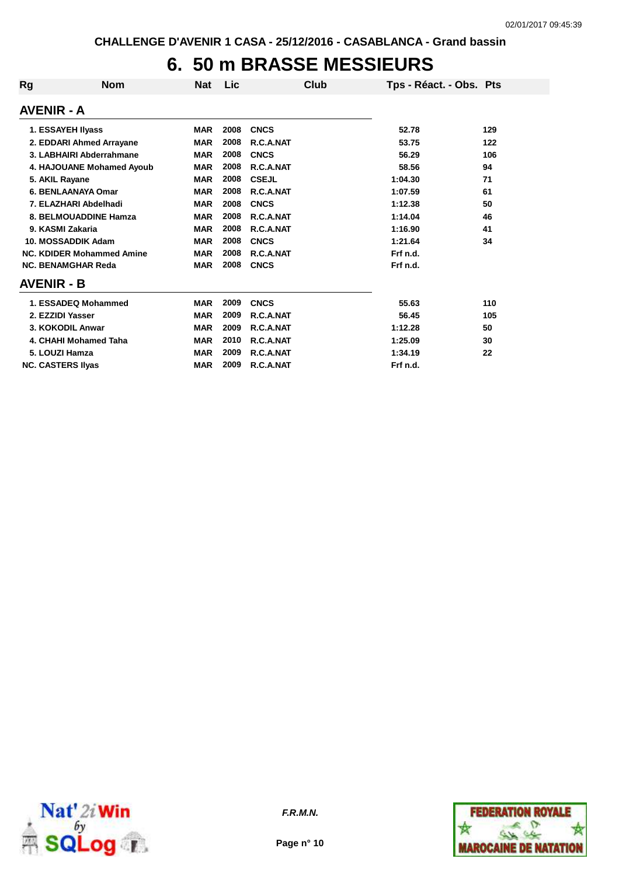## **6. 50 m BRASSE MESSIEURS**

| Rg | <b>Nom</b>                       | <b>Nat</b> | Lic  | Club         | Tps - Réact. - Obs. Pts |     |
|----|----------------------------------|------------|------|--------------|-------------------------|-----|
|    | <b>AVENIR - A</b>                |            |      |              |                         |     |
|    | 1. ESSAYEH Ilyass                | <b>MAR</b> | 2008 | <b>CNCS</b>  | 52.78                   | 129 |
|    | 2. EDDARI Ahmed Arrayane         | <b>MAR</b> | 2008 | R.C.A.NAT    | 53.75                   | 122 |
|    | 3. LABHAIRI Abderrahmane         | <b>MAR</b> | 2008 | <b>CNCS</b>  | 56.29                   | 106 |
|    | 4. HAJOUANE Mohamed Ayoub        | <b>MAR</b> | 2008 | R.C.A.NAT    | 58.56                   | 94  |
|    | 5. AKIL Rayane                   | <b>MAR</b> | 2008 | <b>CSEJL</b> | 1:04.30                 | 71  |
|    | 6. BENLAANAYA Omar               | <b>MAR</b> | 2008 | R.C.A.NAT    | 1:07.59                 | 61  |
|    | 7. ELAZHARI Abdelhadi            | <b>MAR</b> | 2008 | <b>CNCS</b>  | 1:12.38                 | 50  |
|    | 8. BELMOUADDINE Hamza            | <b>MAR</b> | 2008 | R.C.A.NAT    | 1:14.04                 | 46  |
|    | 9. KASMI Zakaria                 | <b>MAR</b> | 2008 | R.C.A.NAT    | 1:16.90                 | 41  |
|    | 10. MOSSADDIK Adam               | <b>MAR</b> | 2008 | <b>CNCS</b>  | 1:21.64                 | 34  |
|    | <b>NC. KDIDER Mohammed Amine</b> | <b>MAR</b> | 2008 | R.C.A.NAT    | Frf n.d.                |     |
|    | <b>NC. BENAMGHAR Reda</b>        | <b>MAR</b> | 2008 | <b>CNCS</b>  | Frf n.d.                |     |
|    | <b>AVENIR - B</b>                |            |      |              |                         |     |
|    | 1. ESSADEQ Mohammed              | <b>MAR</b> | 2009 | <b>CNCS</b>  | 55.63                   | 110 |
|    | 2. EZZIDI Yasser                 | <b>MAR</b> | 2009 | R.C.A.NAT    | 56.45                   | 105 |
|    | 3. KOKODIL Anwar                 | <b>MAR</b> | 2009 | R.C.A.NAT    | 1:12.28                 | 50  |
|    | 4. CHAHI Mohamed Taha            | <b>MAR</b> | 2010 | R.C.A.NAT    | 1:25.09                 | 30  |
|    | 5. LOUZI Hamza                   | <b>MAR</b> | 2009 | R.C.A.NAT    | 1:34.19                 | 22  |
|    | <b>NC. CASTERS Ilyas</b>         | <b>MAR</b> | 2009 | R.C.A.NAT    | Frf n.d.                |     |



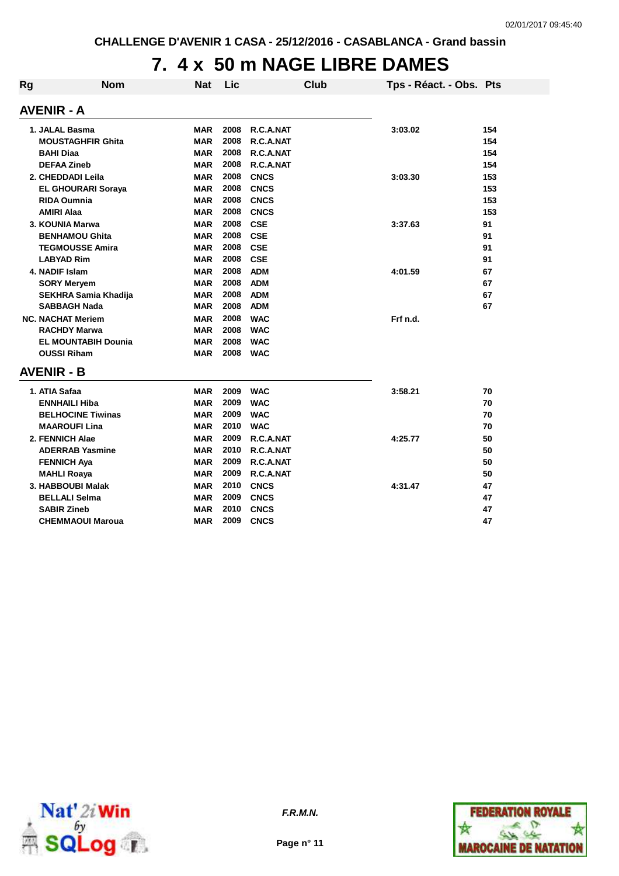## **7. 4 x 50 m NAGE LIBRE DAMES**

| Rg | <b>Nom</b>                  | <b>Nat</b> | Lic  |             | <b>Club</b> | Tps - Réact. - Obs. Pts |     |
|----|-----------------------------|------------|------|-------------|-------------|-------------------------|-----|
|    | AVENIR - A                  |            |      |             |             |                         |     |
|    | 1. JALAL Basma              | <b>MAR</b> | 2008 | R.C.A.NAT   |             | 3:03.02                 | 154 |
|    | <b>MOUSTAGHFIR Ghita</b>    | <b>MAR</b> | 2008 | R.C.A.NAT   |             |                         | 154 |
|    | <b>BAHI Diaa</b>            | <b>MAR</b> | 2008 | R.C.A.NAT   |             |                         | 154 |
|    | <b>DEFAA Zineb</b>          | <b>MAR</b> | 2008 | R.C.A.NAT   |             |                         | 154 |
|    | 2. CHEDDADI Leila           | <b>MAR</b> | 2008 | <b>CNCS</b> |             | 3:03.30                 | 153 |
|    | <b>EL GHOURARI Soraya</b>   | <b>MAR</b> | 2008 | <b>CNCS</b> |             |                         | 153 |
|    | <b>RIDA Oumnia</b>          | MAR        | 2008 | <b>CNCS</b> |             |                         | 153 |
|    | <b>AMIRI Alaa</b>           | MAR        | 2008 | <b>CNCS</b> |             |                         | 153 |
|    | 3. KOUNIA Marwa             | <b>MAR</b> | 2008 | <b>CSE</b>  |             | 3:37.63                 | 91  |
|    | <b>BENHAMOU Ghita</b>       | MAR        | 2008 | <b>CSE</b>  |             |                         | 91  |
|    | <b>TEGMOUSSE Amira</b>      | <b>MAR</b> | 2008 | <b>CSE</b>  |             |                         | 91  |
|    | <b>LABYAD Rim</b>           | MAR        | 2008 | <b>CSE</b>  |             |                         | 91  |
|    | 4. NADIF Islam              | <b>MAR</b> | 2008 | <b>ADM</b>  |             | 4:01.59                 | 67  |
|    | <b>SORY Meryem</b>          | <b>MAR</b> | 2008 | <b>ADM</b>  |             |                         | 67  |
|    | <b>SEKHRA Samia Khadija</b> | <b>MAR</b> | 2008 | <b>ADM</b>  |             |                         | 67  |
|    | <b>SABBAGH Nada</b>         | <b>MAR</b> | 2008 | <b>ADM</b>  |             |                         | 67  |
|    | <b>NC. NACHAT Meriem</b>    | <b>MAR</b> | 2008 | <b>WAC</b>  |             | Frf n.d.                |     |
|    | <b>RACHDY Marwa</b>         | <b>MAR</b> | 2008 | <b>WAC</b>  |             |                         |     |
|    | <b>EL MOUNTABIH Dounia</b>  | MAR        | 2008 | <b>WAC</b>  |             |                         |     |
|    | <b>OUSSI Riham</b>          | MAR        | 2008 | <b>WAC</b>  |             |                         |     |
|    | <b>AVENIR - B</b>           |            |      |             |             |                         |     |
|    | 1. ATIA Safaa               | <b>MAR</b> | 2009 | <b>WAC</b>  |             | 3:58.21                 | 70  |
|    | <b>ENNHAILI Hiba</b>        | <b>MAR</b> | 2009 | <b>WAC</b>  |             |                         | 70  |
|    | <b>BELHOCINE Tiwinas</b>    | <b>MAR</b> | 2009 | <b>WAC</b>  |             |                         | 70  |
|    | <b>MAAROUFI Lina</b>        | MAR        | 2010 | <b>WAC</b>  |             |                         | 70  |
|    | 2. FENNICH Alae             | <b>MAR</b> | 2009 | R.C.A.NAT   |             | 4:25.77                 | 50  |
|    | <b>ADERRAB Yasmine</b>      | <b>MAR</b> | 2010 | R.C.A.NAT   |             |                         | 50  |
|    | <b>FENNICH Aya</b>          | <b>MAR</b> | 2009 | R.C.A.NAT   |             |                         | 50  |
|    | <b>MAHLI Roaya</b>          | MAR        | 2009 | R.C.A.NAT   |             |                         | 50  |
|    | 3. HABBOUBI Malak           | <b>MAR</b> | 2010 | <b>CNCS</b> |             | 4:31.47                 | 47  |
|    | <b>BELLALI Selma</b>        | <b>MAR</b> | 2009 | <b>CNCS</b> |             |                         | 47  |
|    | <b>SABIR Zineb</b>          | <b>MAR</b> | 2010 | <b>CNCS</b> |             |                         | 47  |
|    | <b>CHEMMAOUI Maroua</b>     | <b>MAR</b> | 2009 | <b>CNCS</b> |             |                         | 47  |



**F.R.M.N.**